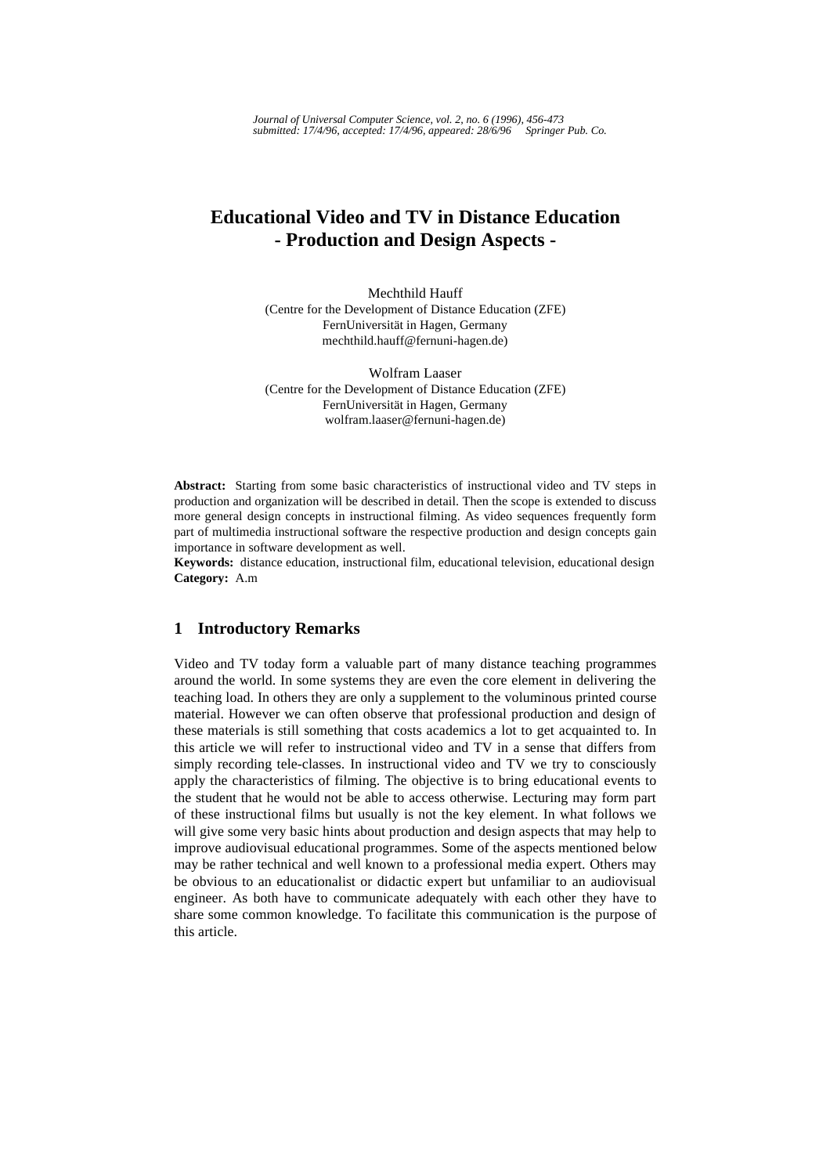# **Educational Video and TV in Distance Education - Production and Design Aspects -**

Mechthild Hauff (Centre for the Development of Distance Education (ZFE) FernUniversität in Hagen, Germany mechthild.hauff@fernuni-hagen.de)

Wolfram Laaser (Centre for the Development of Distance Education (ZFE) FernUniversität in Hagen, Germany wolfram.laaser@fernuni-hagen.de)

**Abstract:** Starting from some basic characteristics of instructional video and TV steps in production and organization will be described in detail. Then the scope is extended to discuss more general design concepts in instructional filming. As video sequences frequently form part of multimedia instructional software the respective production and design concepts gain importance in software development as well.

**Keywords:** distance education, instructional film, educational television, educational design **Category:** A.m

# **1 Introductory Remarks**

Video and TV today form a valuable part of many distance teaching programmes around the world. In some systems they are even the core element in delivering the teaching load. In others they are only a supplement to the voluminous printed course material. However we can often observe that professional production and design of these materials is still something that costs academics a lot to get acquainted to. In this article we will refer to instructional video and TV in a sense that differs from simply recording tele-classes. In instructional video and TV we try to consciously apply the characteristics of filming. The objective is to bring educational events to the student that he would not be able to access otherwise. Lecturing may form part of these instructional films but usually is not the key element. In what follows we will give some very basic hints about production and design aspects that may help to improve audiovisual educational programmes. Some of the aspects mentioned below may be rather technical and well known to a professional media expert. Others may be obvious to an educationalist or didactic expert but unfamiliar to an audiovisual engineer. As both have to communicate adequately with each other they have to share some common knowledge. To facilitate this communication is the purpose of this article.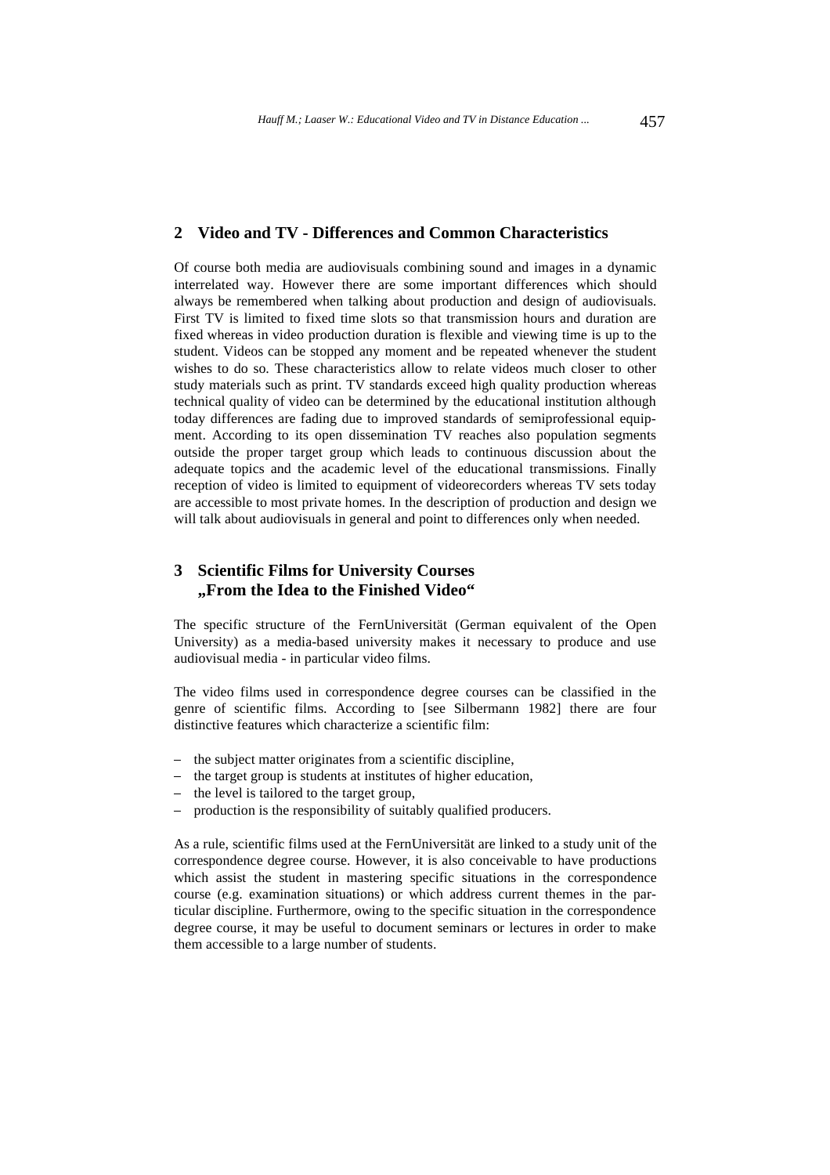### **2 Video and TV - Differences and Common Characteristics**

Of course both media are audiovisuals combining sound and images in a dynamic interrelated way. However there are some important differences which should always be remembered when talking about production and design of audiovisuals. First TV is limited to fixed time slots so that transmission hours and duration are fixed whereas in video production duration is flexible and viewing time is up to the student. Videos can be stopped any moment and be repeated whenever the student wishes to do so. These characteristics allow to relate videos much closer to other study materials such as print. TV standards exceed high quality production whereas technical quality of video can be determined by the educational institution although today differences are fading due to improved standards of semiprofessional equipment. According to its open dissemination TV reaches also population segments outside the proper target group which leads to continuous discussion about the adequate topics and the academic level of the educational transmissions. Finally reception of video is limited to equipment of videorecorders whereas TV sets today are accessible to most private homes. In the description of production and design we will talk about audiovisuals in general and point to differences only when needed.

# **3 Scientific Films for University Courses "From the Idea to the Finished Video"**

The specific structure of the FernUniversität (German equivalent of the Open University) as a media-based university makes it necessary to produce and use audiovisual media - in particular video films.

The video films used in correspondence degree courses can be classified in the genre of scientific films. According to [see Silbermann 1982] there are four distinctive features which characterize a scientific film:

- the subject matter originates from a scientific discipline,
- the target group is students at institutes of higher education,
- the level is tailored to the target group,
- production is the responsibility of suitably qualified producers.

As a rule, scientific films used at the FernUniversität are linked to a study unit of the correspondence degree course. However, it is also conceivable to have productions which assist the student in mastering specific situations in the correspondence course (e.g. examination situations) or which address current themes in the particular discipline. Furthermore, owing to the specific situation in the correspondence degree course, it may be useful to document seminars or lectures in order to make them accessible to a large number of students.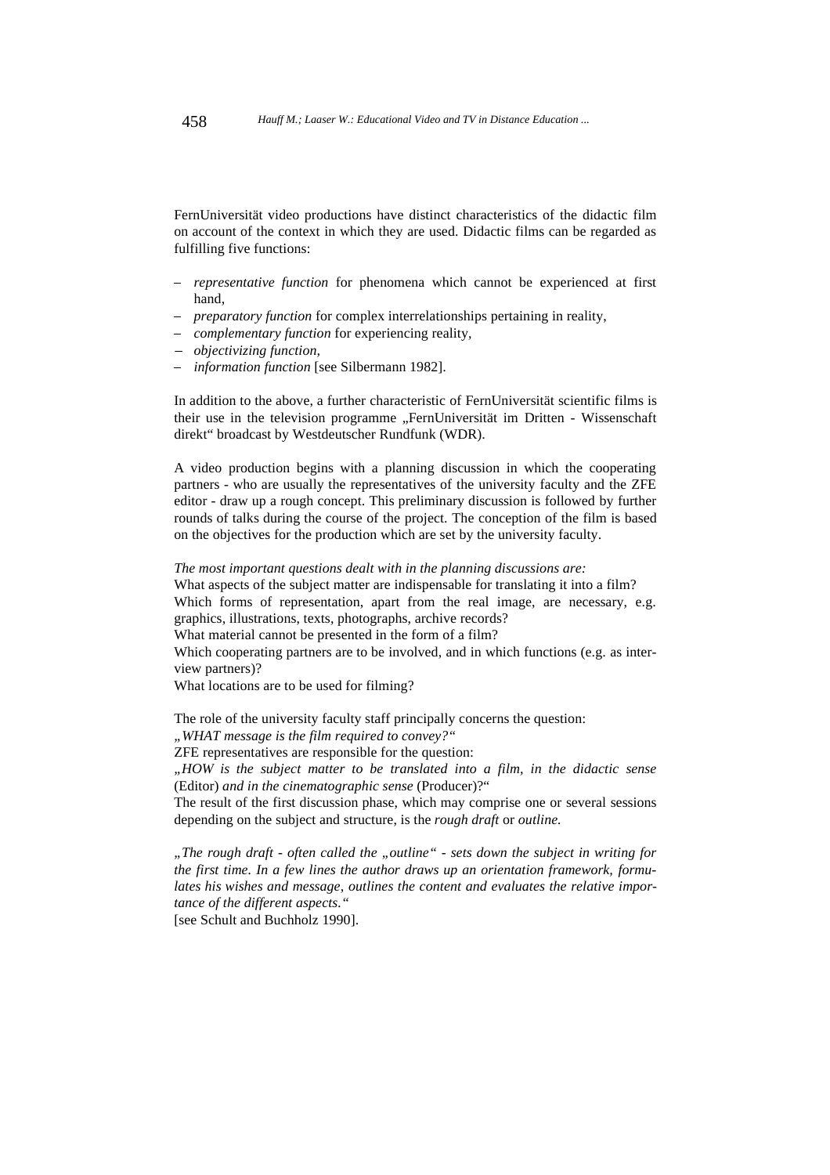FernUniversität video productions have distinct characteristics of the didactic film on account of the context in which they are used. Didactic films can be regarded as fulfilling five functions:  $\ddot{\phantom{1}}$ 

- *representative function* for phenomena which cannot be experienced at first hand,
- *preparatory function* for complex interrelationships pertaining in reality,
- *complementary function* for experiencing reality,
- *objectivizing function,*
- *information function* [see Silbermann 1982].

In addition to the above, a further characteristic of FernUniversität scientific films is their use in the television programme "FernUniversität im Dritten - Wissenschaft direkt" broadcast by Westdeutscher Rundfunk (WDR).

A video production begins with a planning discussion in which the cooperating partners - who are usually the representatives of the university faculty and the ZFE editor - draw up a rough concept. This preliminary discussion is followed by further rounds of talks during the course of the project. The conception of the film is based on the objectives for the production which are set by the university faculty.

*The most important questions dealt with in the planning discussions are:* What aspects of the subject matter are indispensable for translating it into a film? Which forms of representation, apart from the real image, are necessary, e.g. graphics, illustrations, texts, photographs, archive records? What material cannot be presented in the form of a film? Which cooperating partners are to be involved, and in which functions (e.g. as interview partners)? What locations are to be used for filming?

The role of the university faculty staff principally concerns the question:

*"WHAT message is the film required to convey?"*

ZFE representatives are responsible for the question:

*"HOW is the subject matter to be translated into a film, in the didactic sense* (Editor) *and in the cinematographic sense* (Producer)?"

The result of the first discussion phase, which may comprise one or several sessions depending on the subject and structure, is the *rough draft* or *outline.*

"The rough draft - often called the "outline" - sets down the subject in writing for *the first time. In a few lines the author draws up an orientation framework, formulates his wishes and message, outlines the content and evaluates the relative importance of the different aspects."*

[see Schult and Buchholz 1990].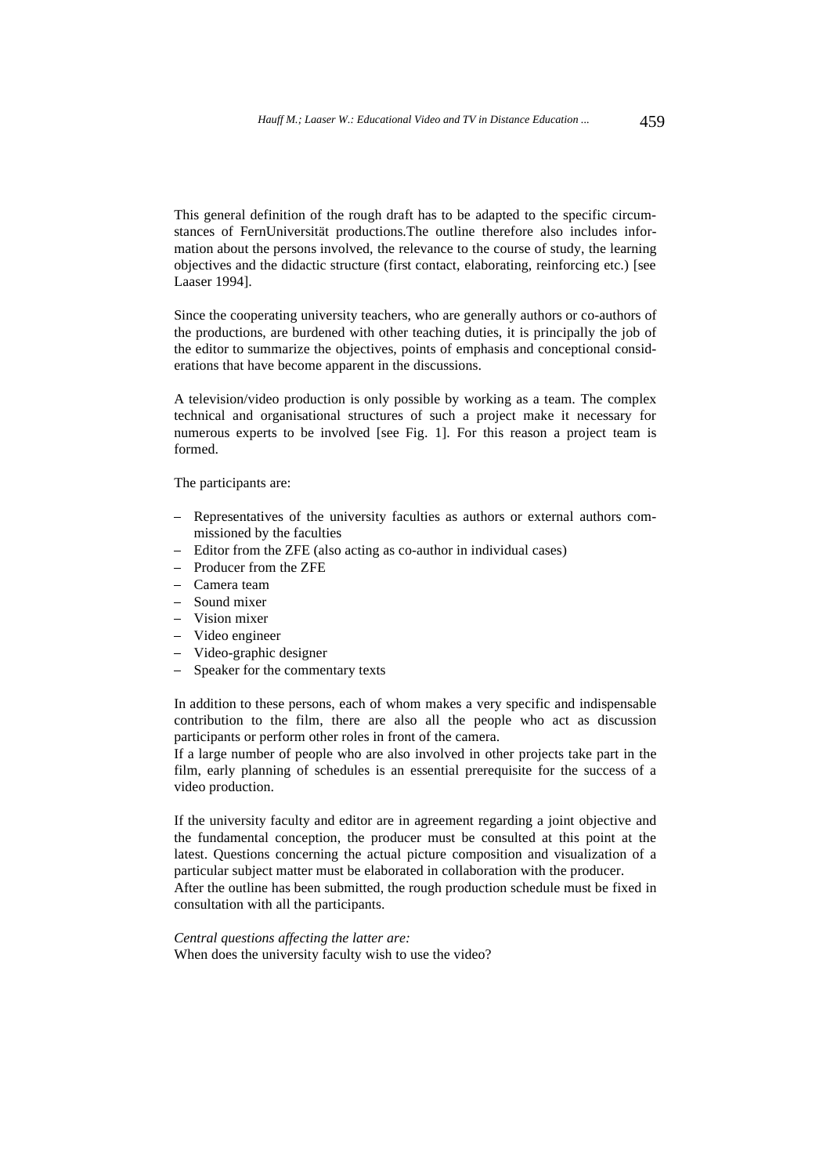This general definition of the rough draft has to be adapted to the specific circumstances of FernUniversität productions.The outline therefore also includes information about the persons involved, the relevance to the course of study, the learning objectives and the didactic structure (first contact, elaborating, reinforcing etc.) [see Laaser 1994].

Since the cooperating university teachers, who are generally authors or co-authors of the productions, are burdened with other teaching duties, it is principally the job of the editor to summarize the objectives, points of emphasis and conceptional considerations that have become apparent in the discussions.

A television/video production is only possible by working as a team. The complex technical and organisational structures of such a project make it necessary for numerous experts to be involved [see Fig. 1]. For this reason a project team is formed.

The participants are: Ĵ

- Representatives of the university faculties as authors or external authors commissioned by the faculties
- Editor from the ZFE (also acting as co-author in individual cases)
- Producer from the ZFE
- Camera team
- Sound mixer
- Vision mixer
- Video engineer
- Video-graphic designer
- Speaker for the commentary texts

In addition to these persons, each of whom makes a very specific and indispensable contribution to the film, there are also all the people who act as discussion participants or perform other roles in front of the camera.

If a large number of people who are also involved in other projects take part in the film, early planning of schedules is an essential prerequisite for the success of a video production.

If the university faculty and editor are in agreement regarding a joint objective and the fundamental conception, the producer must be consulted at this point at the latest. Questions concerning the actual picture composition and visualization of a particular subject matter must be elaborated in collaboration with the producer. After the outline has been submitted, the rough production schedule must be fixed in consultation with all the participants.

*Central questions affecting the latter are:* When does the university faculty wish to use the video?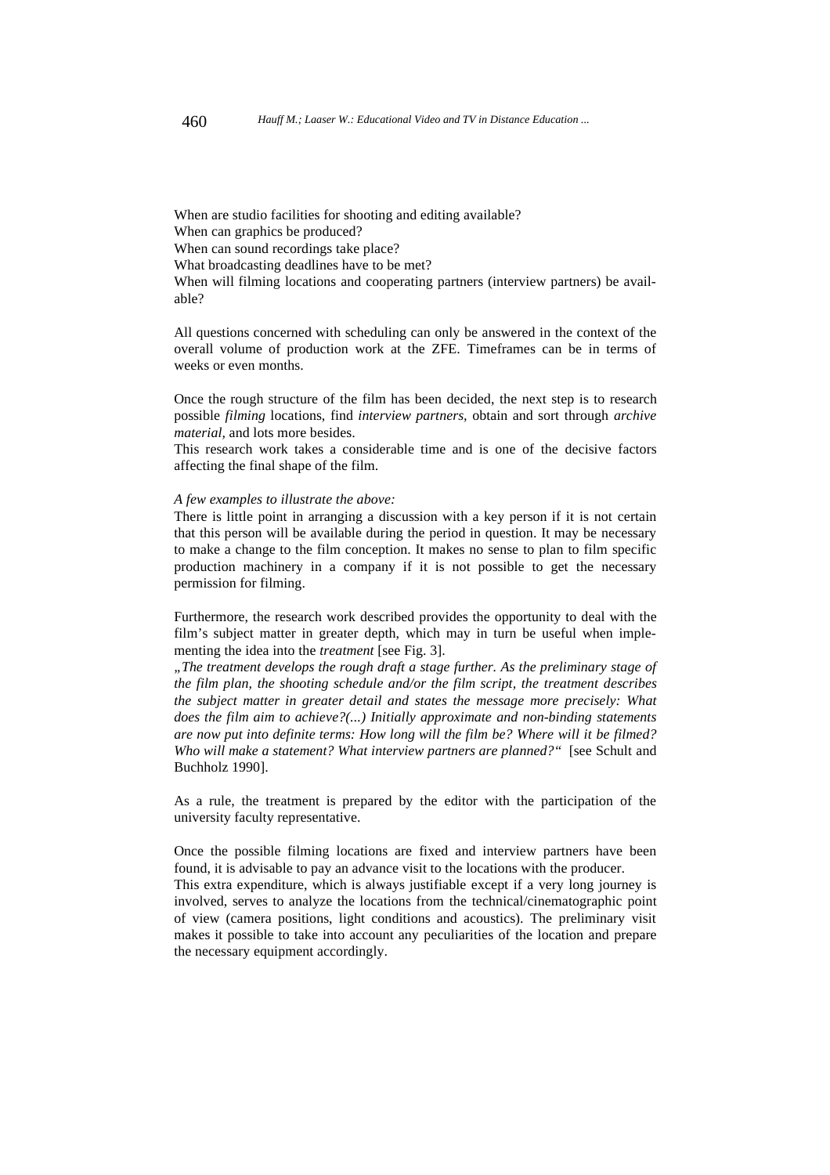When are studio facilities for shooting and editing available? When can graphics be produced? When can sound recordings take place? What broadcasting deadlines have to be met? When will filming locations and cooperating partners (interview partners) be available?

All questions concerned with scheduling can only be answered in the context of the overall volume of production work at the ZFE. Timeframes can be in terms of weeks or even months.

Once the rough structure of the film has been decided, the next step is to research possible *filming* locations, find *interview partners,* obtain and sort through *archive material,* and lots more besides.

This research work takes a considerable time and is one of the decisive factors affecting the final shape of the film.

#### *A few examples to illustrate the above:*

There is little point in arranging a discussion with a key person if it is not certain that this person will be available during the period in question. It may be necessary to make a change to the film conception. It makes no sense to plan to film specific production machinery in a company if it is not possible to get the necessary permission for filming.

Furthermore, the research work described provides the opportunity to deal with the film's subject matter in greater depth, which may in turn be useful when implementing the idea into the *treatment* [see Fig. 3].

*"The treatment develops the rough draft a stage further. As the preliminary stage of the film plan, the shooting schedule and/or the film script, the treatment describes the subject matter in greater detail and states the message more precisely: What does the film aim to achieve?(...) Initially approximate and non-binding statements are now put into definite terms: How long will the film be? Where will it be filmed? Who will make a statement? What interview partners are planned?"* [see Schult and Buchholz 1990].

As a rule, the treatment is prepared by the editor with the participation of the university faculty representative.

Once the possible filming locations are fixed and interview partners have been found, it is advisable to pay an advance visit to the locations with the producer.

This extra expenditure, which is always justifiable except if a very long journey is involved, serves to analyze the locations from the technical/cinematographic point of view (camera positions, light conditions and acoustics). The preliminary visit makes it possible to take into account any peculiarities of the location and prepare the necessary equipment accordingly.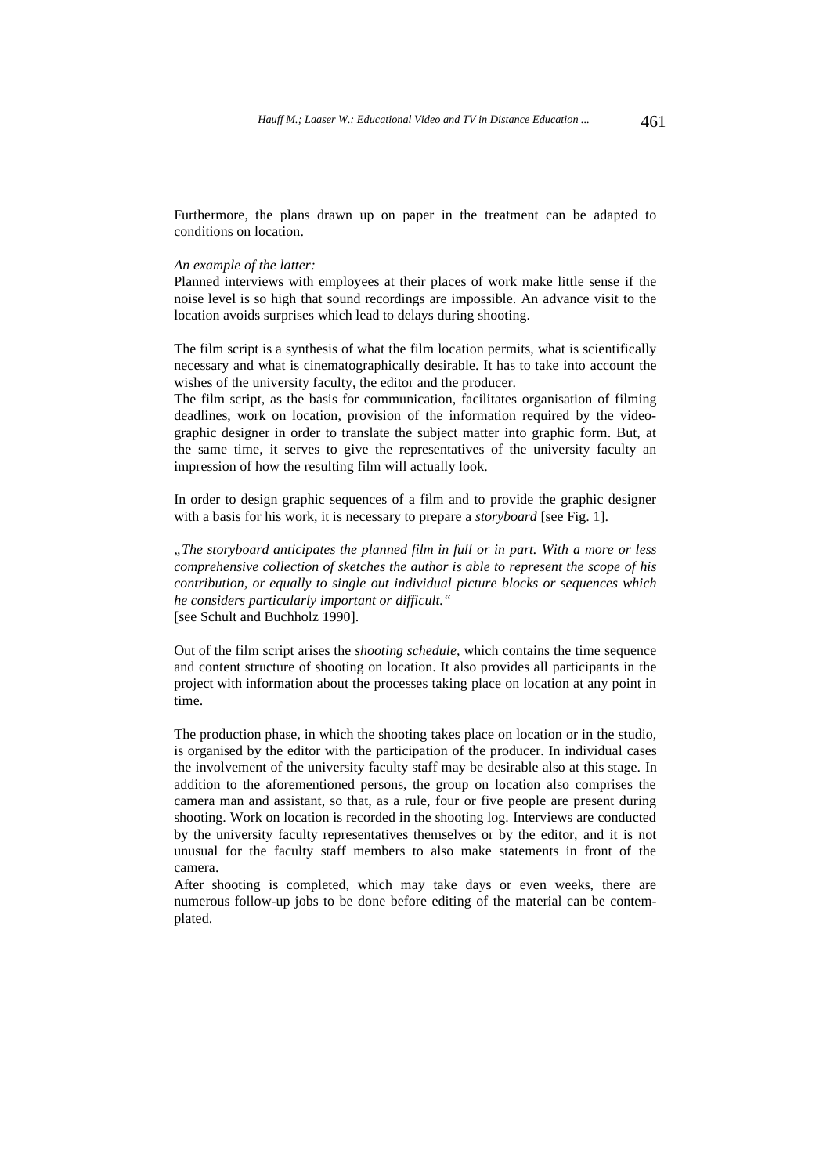Furthermore, the plans drawn up on paper in the treatment can be adapted to conditions on location.

#### *An example of the latter:*

Planned interviews with employees at their places of work make little sense if the noise level is so high that sound recordings are impossible. An advance visit to the location avoids surprises which lead to delays during shooting.

The film script is a synthesis of what the film location permits, what is scientifically necessary and what is cinematographically desirable. It has to take into account the wishes of the university faculty, the editor and the producer.

The film script, as the basis for communication, facilitates organisation of filming deadlines, work on location, provision of the information required by the videographic designer in order to translate the subject matter into graphic form. But, at the same time, it serves to give the representatives of the university faculty an impression of how the resulting film will actually look.

In order to design graphic sequences of a film and to provide the graphic designer with a basis for his work, it is necessary to prepare a *storyboard* [see Fig. 1].

*"The storyboard anticipates the planned film in full or in part. With a more or less comprehensive collection of sketches the author is able to represent the scope of his contribution, or equally to single out individual picture blocks or sequences which he considers particularly important or difficult."* [see Schult and Buchholz 1990].

Out of the film script arises the *shooting schedule,* which contains the time sequence and content structure of shooting on location. It also provides all participants in the project with information about the processes taking place on location at any point in time.

The production phase, in which the shooting takes place on location or in the studio, is organised by the editor with the participation of the producer. In individual cases the involvement of the university faculty staff may be desirable also at this stage. In addition to the aforementioned persons, the group on location also comprises the camera man and assistant, so that, as a rule, four or five people are present during shooting. Work on location is recorded in the shooting log. Interviews are conducted by the university faculty representatives themselves or by the editor, and it is not unusual for the faculty staff members to also make statements in front of the camera.

After shooting is completed, which may take days or even weeks, there are numerous follow-up jobs to be done before editing of the material can be contemplated.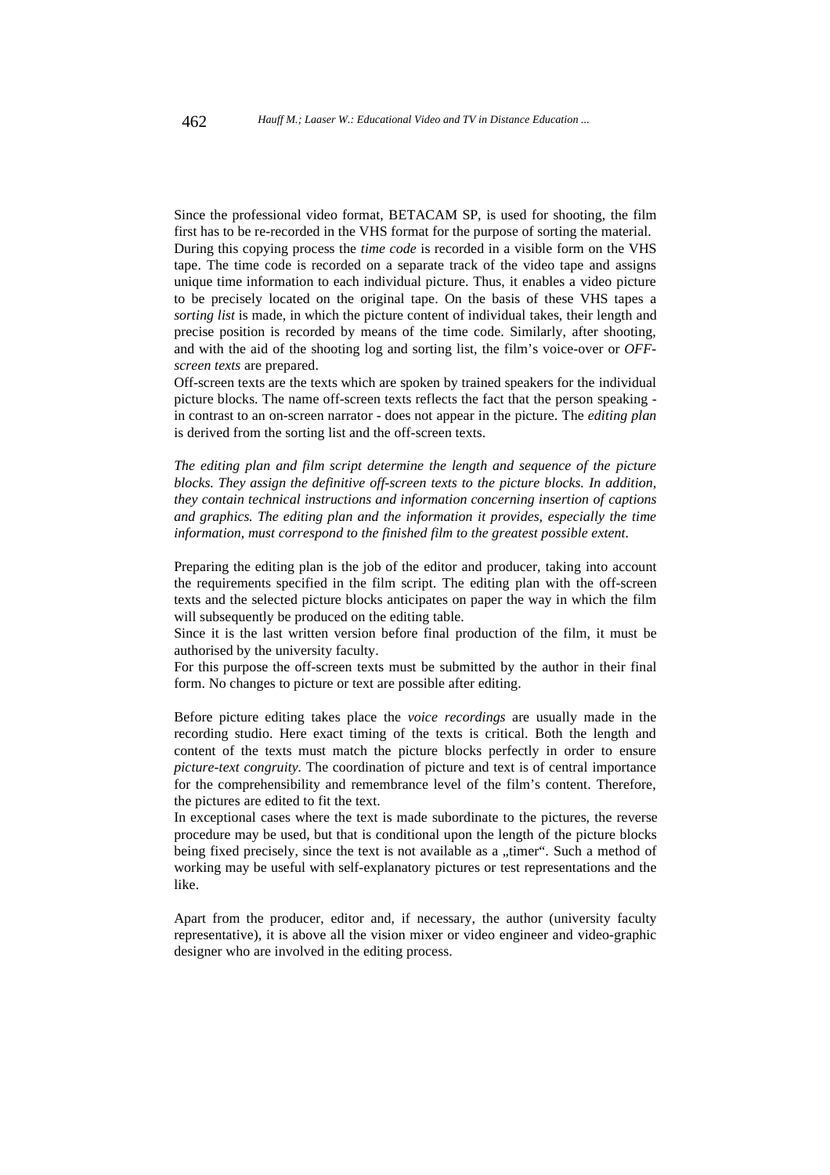Since the professional video format, BETACAM SP, is used for shooting, the film first has to be re-recorded in the VHS format for the purpose of sorting the material. During this copying process the *time code* is recorded in a visible form on the VHS tape. The time code is recorded on a separate track of the video tape and assigns unique time information to each individual picture. Thus, it enables a video picture to be precisely located on the original tape. On the basis of these VHS tapes a *sorting list* is made, in which the picture content of individual takes, their length and precise position is recorded by means of the time code. Similarly, after shooting, and with the aid of the shooting log and sorting list, the film's voice-over or *OFFscreen texts* are prepared.

Off-screen texts are the texts which are spoken by trained speakers for the individual picture blocks. The name off-screen texts reflects the fact that the person speaking in contrast to an on-screen narrator - does not appear in the picture. The *editing plan* is derived from the sorting list and the off-screen texts.

*The editing plan and film script determine the length and sequence of the picture blocks. They assign the definitive off-screen texts to the picture blocks. In addition, they contain technical instructions and information concerning insertion of captions and graphics. The editing plan and the information it provides, especially the time information, must correspond to the finished film to the greatest possible extent.*

Preparing the editing plan is the job of the editor and producer, taking into account the requirements specified in the film script. The editing plan with the off-screen texts and the selected picture blocks anticipates on paper the way in which the film will subsequently be produced on the editing table.

Since it is the last written version before final production of the film, it must be authorised by the university faculty.

For this purpose the off-screen texts must be submitted by the author in their final form. No changes to picture or text are possible after editing.

Before picture editing takes place the *voice recordings* are usually made in the recording studio. Here exact timing of the texts is critical. Both the length and content of the texts must match the picture blocks perfectly in order to ensure *picture-text congruity.* The coordination of picture and text is of central importance for the comprehensibility and remembrance level of the film's content. Therefore, the pictures are edited to fit the text.

In exceptional cases where the text is made subordinate to the pictures, the reverse procedure may be used, but that is conditional upon the length of the picture blocks being fixed precisely, since the text is not available as a "timer". Such a method of working may be useful with self-explanatory pictures or test representations and the like.

Apart from the producer, editor and, if necessary, the author (university faculty representative), it is above all the vision mixer or video engineer and video-graphic designer who are involved in the editing process.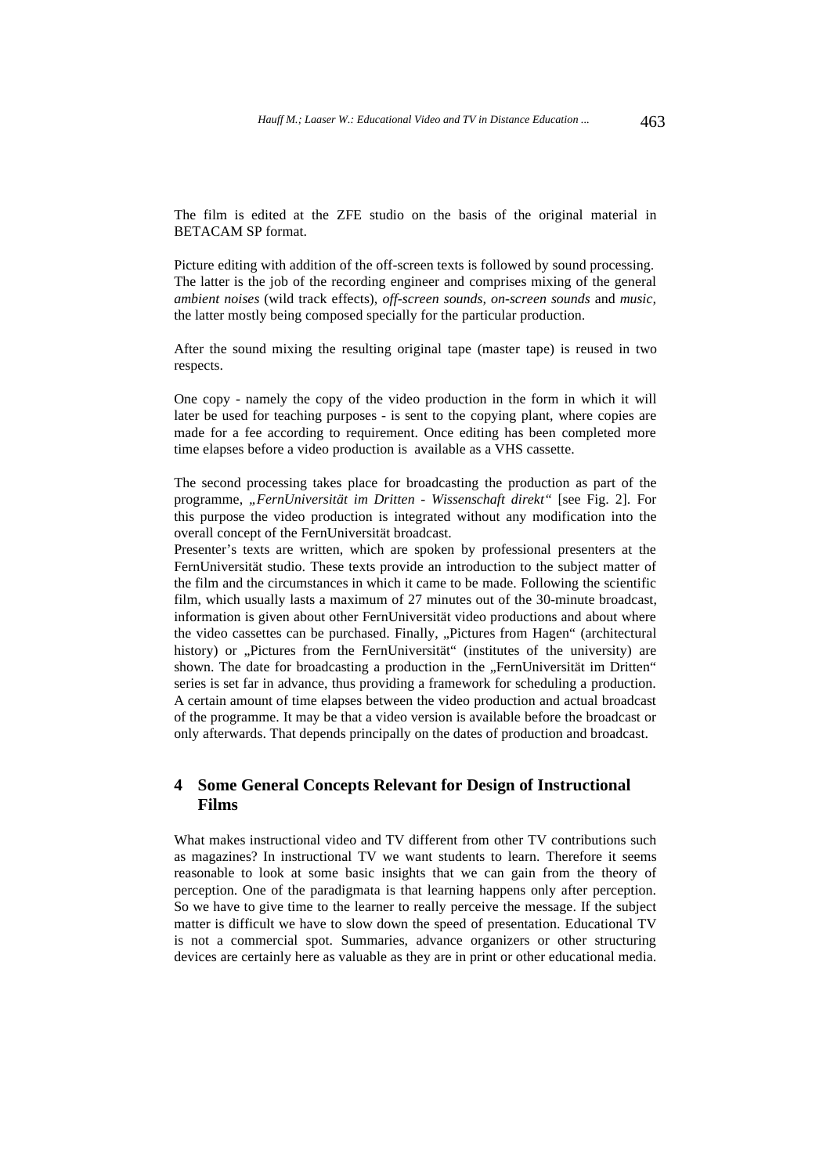The film is edited at the ZFE studio on the basis of the original material in BETACAM SP format.

Picture editing with addition of the off-screen texts is followed by sound processing. The latter is the job of the recording engineer and comprises mixing of the general *ambient noises* (wild track effects), *off-screen sounds, on-screen sounds* and *music,* the latter mostly being composed specially for the particular production.

After the sound mixing the resulting original tape (master tape) is reused in two respects.

One copy - namely the copy of the video production in the form in which it will later be used for teaching purposes - is sent to the copying plant, where copies are made for a fee according to requirement. Once editing has been completed more time elapses before a video production is available as a VHS cassette.

The second processing takes place for broadcasting the production as part of the programme, *"FernUniversität im Dritten - Wissenschaft direkt"* [see Fig. 2]. For this purpose the video production is integrated without any modification into the overall concept of the FernUniversität broadcast.

Presenter's texts are written, which are spoken by professional presenters at the FernUniversität studio. These texts provide an introduction to the subject matter of the film and the circumstances in which it came to be made. Following the scientific film, which usually lasts a maximum of 27 minutes out of the 30-minute broadcast, information is given about other FernUniversität video productions and about where the video cassettes can be purchased. Finally, "Pictures from Hagen" (architectural history) or "Pictures from the FernUniversität" (institutes of the university) are shown. The date for broadcasting a production in the "FernUniversität im Dritten" series is set far in advance, thus providing a framework for scheduling a production. A certain amount of time elapses between the video production and actual broadcast of the programme. It may be that a video version is available before the broadcast or only afterwards. That depends principally on the dates of production and broadcast.

# **4 Some General Concepts Relevant for Design of Instructional Films**

What makes instructional video and TV different from other TV contributions such as magazines? In instructional TV we want students to learn. Therefore it seems reasonable to look at some basic insights that we can gain from the theory of perception. One of the paradigmata is that learning happens only after perception. So we have to give time to the learner to really perceive the message. If the subject matter is difficult we have to slow down the speed of presentation. Educational TV is not a commercial spot. Summaries, advance organizers or other structuring devices are certainly here as valuable as they are in print or other educational media.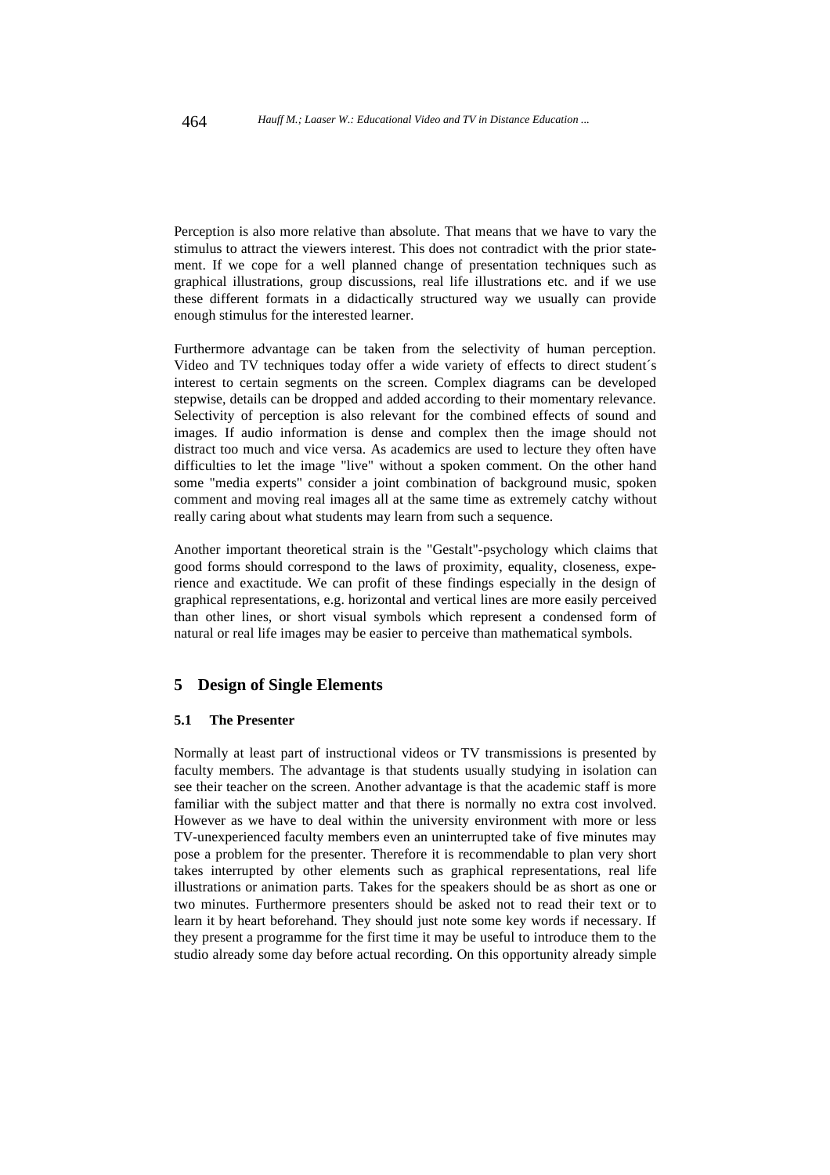Perception is also more relative than absolute. That means that we have to vary the stimulus to attract the viewers interest. This does not contradict with the prior statement. If we cope for a well planned change of presentation techniques such as graphical illustrations, group discussions, real life illustrations etc. and if we use these different formats in a didactically structured way we usually can provide enough stimulus for the interested learner.

Furthermore advantage can be taken from the selectivity of human perception. Video and TV techniques today offer a wide variety of effects to direct student´s interest to certain segments on the screen. Complex diagrams can be developed stepwise, details can be dropped and added according to their momentary relevance. Selectivity of perception is also relevant for the combined effects of sound and images. If audio information is dense and complex then the image should not distract too much and vice versa. As academics are used to lecture they often have difficulties to let the image "live" without a spoken comment. On the other hand some "media experts" consider a joint combination of background music, spoken comment and moving real images all at the same time as extremely catchy without really caring about what students may learn from such a sequence.

Another important theoretical strain is the "Gestalt"-psychology which claims that good forms should correspond to the laws of proximity, equality, closeness, experience and exactitude. We can profit of these findings especially in the design of graphical representations, e.g. horizontal and vertical lines are more easily perceived than other lines, or short visual symbols which represent a condensed form of natural or real life images may be easier to perceive than mathematical symbols.

### **5 Design of Single Elements**

#### **5.1 The Presenter**

Normally at least part of instructional videos or TV transmissions is presented by faculty members. The advantage is that students usually studying in isolation can see their teacher on the screen. Another advantage is that the academic staff is more familiar with the subject matter and that there is normally no extra cost involved. However as we have to deal within the university environment with more or less TV-unexperienced faculty members even an uninterrupted take of five minutes may pose a problem for the presenter. Therefore it is recommendable to plan very short takes interrupted by other elements such as graphical representations, real life illustrations or animation parts. Takes for the speakers should be as short as one or two minutes. Furthermore presenters should be asked not to read their text or to learn it by heart beforehand. They should just note some key words if necessary. If they present a programme for the first time it may be useful to introduce them to the studio already some day before actual recording. On this opportunity already simple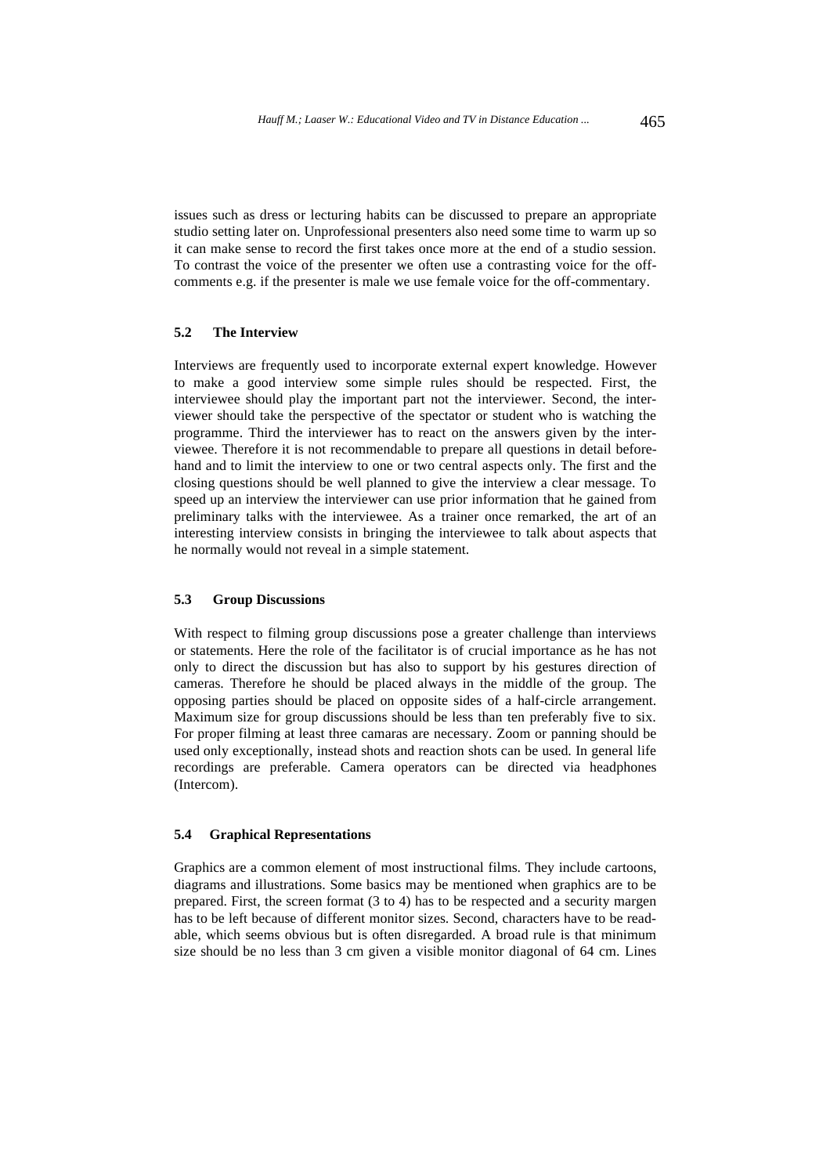issues such as dress or lecturing habits can be discussed to prepare an appropriate studio setting later on. Unprofessional presenters also need some time to warm up so it can make sense to record the first takes once more at the end of a studio session. To contrast the voice of the presenter we often use a contrasting voice for the offcomments e.g. if the presenter is male we use female voice for the off-commentary.

#### **5.2 The Interview**

Interviews are frequently used to incorporate external expert knowledge. However to make a good interview some simple rules should be respected. First, the interviewee should play the important part not the interviewer. Second, the interviewer should take the perspective of the spectator or student who is watching the programme. Third the interviewer has to react on the answers given by the interviewee. Therefore it is not recommendable to prepare all questions in detail beforehand and to limit the interview to one or two central aspects only. The first and the closing questions should be well planned to give the interview a clear message. To speed up an interview the interviewer can use prior information that he gained from preliminary talks with the interviewee. As a trainer once remarked, the art of an interesting interview consists in bringing the interviewee to talk about aspects that he normally would not reveal in a simple statement.

#### **5.3 Group Discussions**

With respect to filming group discussions pose a greater challenge than interviews or statements. Here the role of the facilitator is of crucial importance as he has not only to direct the discussion but has also to support by his gestures direction of cameras. Therefore he should be placed always in the middle of the group. The opposing parties should be placed on opposite sides of a half-circle arrangement. Maximum size for group discussions should be less than ten preferably five to six. For proper filming at least three camaras are necessary. Zoom or panning should be used only exceptionally, instead shots and reaction shots can be used. In general life recordings are preferable. Camera operators can be directed via headphones (Intercom).

### **5.4 Graphical Representations**

Graphics are a common element of most instructional films. They include cartoons, diagrams and illustrations. Some basics may be mentioned when graphics are to be prepared. First, the screen format (3 to 4) has to be respected and a security margen has to be left because of different monitor sizes. Second, characters have to be readable, which seems obvious but is often disregarded. A broad rule is that minimum size should be no less than 3 cm given a visible monitor diagonal of 64 cm. Lines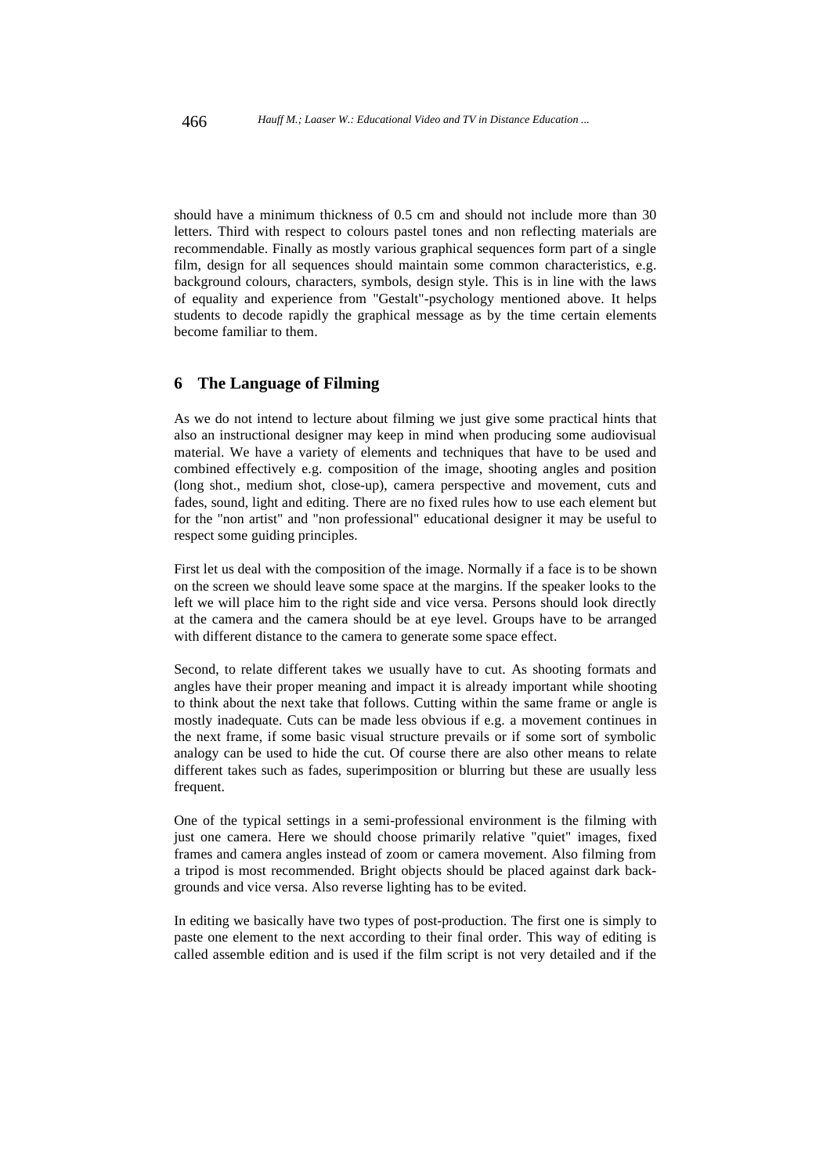should have a minimum thickness of 0.5 cm and should not include more than 30 letters. Third with respect to colours pastel tones and non reflecting materials are recommendable. Finally as mostly various graphical sequences form part of a single film, design for all sequences should maintain some common characteristics, e.g. background colours, characters, symbols, design style. This is in line with the laws of equality and experience from "Gestalt"-psychology mentioned above. It helps students to decode rapidly the graphical message as by the time certain elements become familiar to them.

### **6 The Language of Filming**

As we do not intend to lecture about filming we just give some practical hints that also an instructional designer may keep in mind when producing some audiovisual material. We have a variety of elements and techniques that have to be used and combined effectively e.g. composition of the image, shooting angles and position (long shot., medium shot, close-up), camera perspective and movement, cuts and fades, sound, light and editing. There are no fixed rules how to use each element but for the "non artist" and "non professional" educational designer it may be useful to respect some guiding principles.

First let us deal with the composition of the image. Normally if a face is to be shown on the screen we should leave some space at the margins. If the speaker looks to the left we will place him to the right side and vice versa. Persons should look directly at the camera and the camera should be at eye level. Groups have to be arranged with different distance to the camera to generate some space effect.

Second, to relate different takes we usually have to cut. As shooting formats and angles have their proper meaning and impact it is already important while shooting to think about the next take that follows. Cutting within the same frame or angle is mostly inadequate. Cuts can be made less obvious if e.g. a movement continues in the next frame, if some basic visual structure prevails or if some sort of symbolic analogy can be used to hide the cut. Of course there are also other means to relate different takes such as fades, superimposition or blurring but these are usually less frequent.

One of the typical settings in a semi-professional environment is the filming with just one camera. Here we should choose primarily relative "quiet" images, fixed frames and camera angles instead of zoom or camera movement. Also filming from a tripod is most recommended. Bright objects should be placed against dark backgrounds and vice versa. Also reverse lighting has to be evited.

In editing we basically have two types of post-production. The first one is simply to paste one element to the next according to their final order. This way of editing is called assemble edition and is used if the film script is not very detailed and if the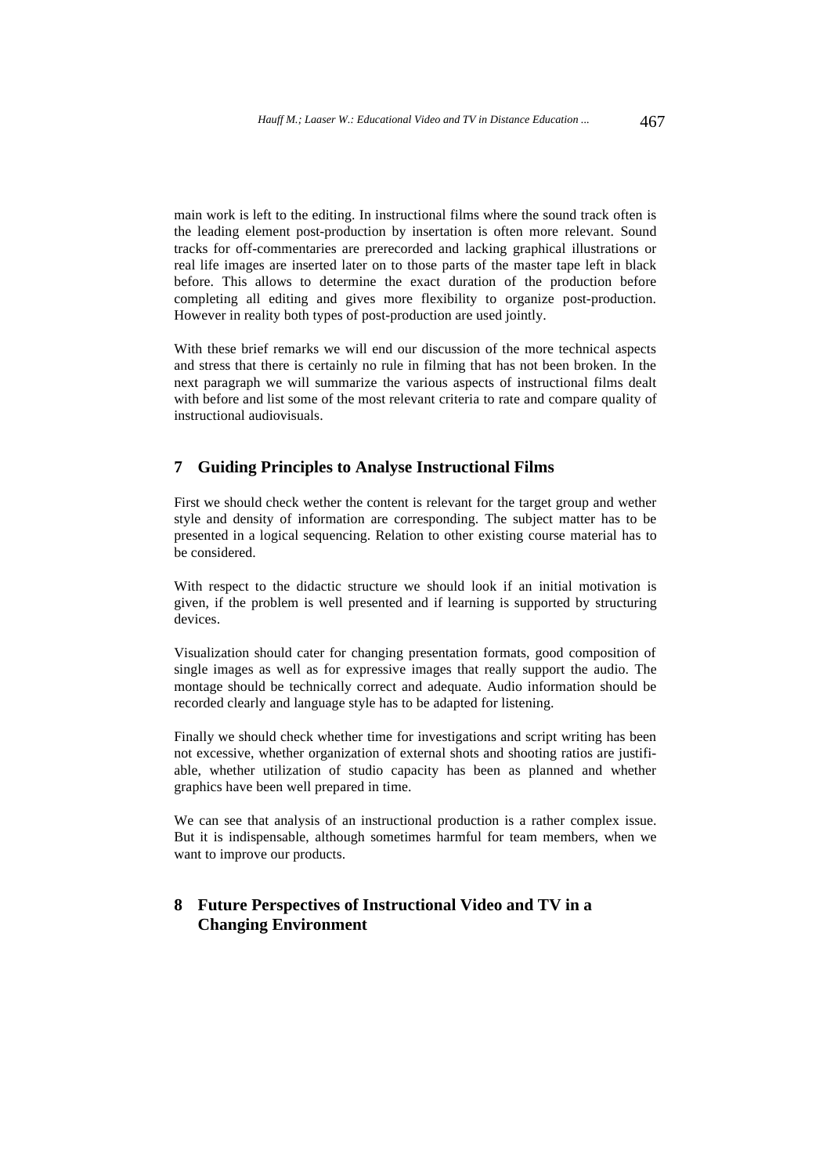main work is left to the editing. In instructional films where the sound track often is the leading element post-production by insertation is often more relevant. Sound tracks for off-commentaries are prerecorded and lacking graphical illustrations or real life images are inserted later on to those parts of the master tape left in black before. This allows to determine the exact duration of the production before completing all editing and gives more flexibility to organize post-production. However in reality both types of post-production are used jointly.

With these brief remarks we will end our discussion of the more technical aspects and stress that there is certainly no rule in filming that has not been broken. In the next paragraph we will summarize the various aspects of instructional films dealt with before and list some of the most relevant criteria to rate and compare quality of instructional audiovisuals.

### **7 Guiding Principles to Analyse Instructional Films**

First we should check wether the content is relevant for the target group and wether style and density of information are corresponding. The subject matter has to be presented in a logical sequencing. Relation to other existing course material has to be considered.

With respect to the didactic structure we should look if an initial motivation is given, if the problem is well presented and if learning is supported by structuring devices.

Visualization should cater for changing presentation formats, good composition of single images as well as for expressive images that really support the audio. The montage should be technically correct and adequate. Audio information should be recorded clearly and language style has to be adapted for listening.

Finally we should check whether time for investigations and script writing has been not excessive, whether organization of external shots and shooting ratios are justifiable, whether utilization of studio capacity has been as planned and whether graphics have been well prepared in time.

We can see that analysis of an instructional production is a rather complex issue. But it is indispensable, although sometimes harmful for team members, when we want to improve our products.

# **8 Future Perspectives of Instructional Video and TV in a Changing Environment**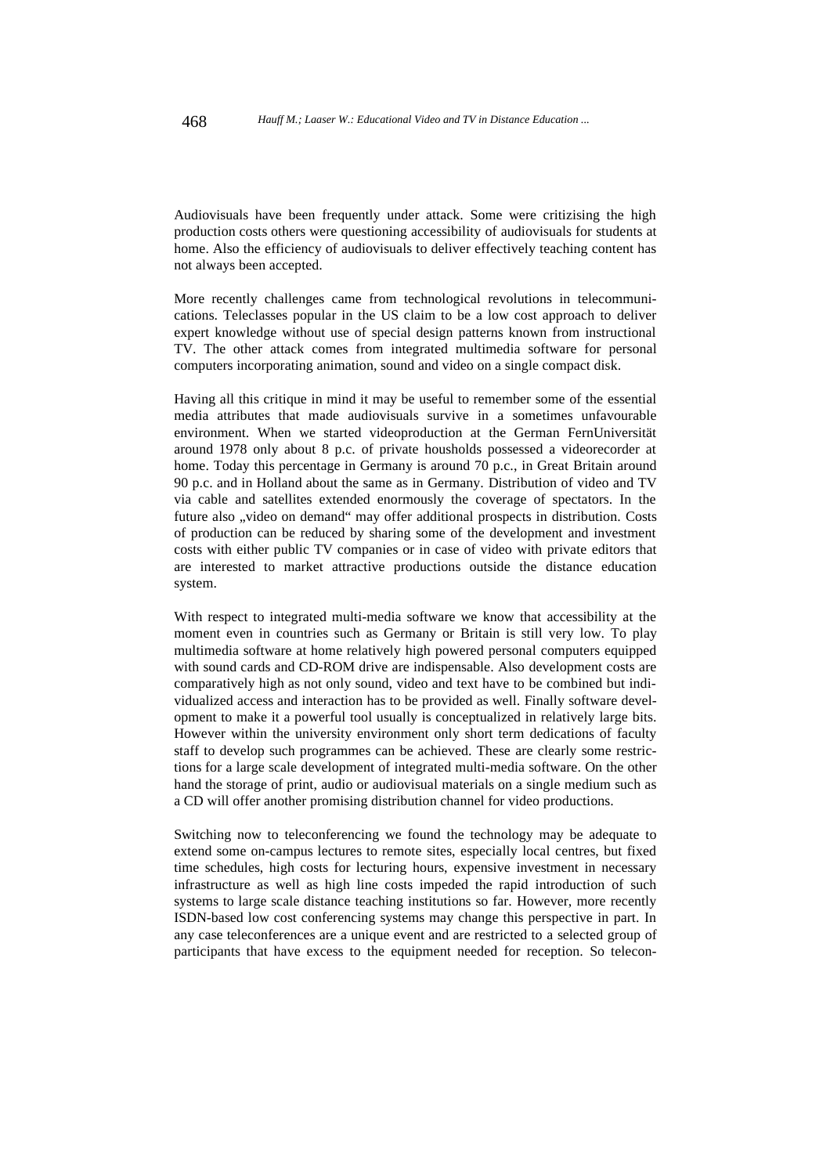Audiovisuals have been frequently under attack. Some were critizising the high production costs others were questioning accessibility of audiovisuals for students at home. Also the efficiency of audiovisuals to deliver effectively teaching content has not always been accepted.

More recently challenges came from technological revolutions in telecommunications. Teleclasses popular in the US claim to be a low cost approach to deliver expert knowledge without use of special design patterns known from instructional TV. The other attack comes from integrated multimedia software for personal computers incorporating animation, sound and video on a single compact disk.

Having all this critique in mind it may be useful to remember some of the essential media attributes that made audiovisuals survive in a sometimes unfavourable environment. When we started videoproduction at the German FernUniversität around 1978 only about 8 p.c. of private housholds possessed a videorecorder at home. Today this percentage in Germany is around 70 p.c., in Great Britain around 90 p.c. and in Holland about the same as in Germany. Distribution of video and TV via cable and satellites extended enormously the coverage of spectators. In the future also "video on demand" may offer additional prospects in distribution. Costs of production can be reduced by sharing some of the development and investment costs with either public TV companies or in case of video with private editors that are interested to market attractive productions outside the distance education system.

With respect to integrated multi-media software we know that accessibility at the moment even in countries such as Germany or Britain is still very low. To play multimedia software at home relatively high powered personal computers equipped with sound cards and CD-ROM drive are indispensable. Also development costs are comparatively high as not only sound, video and text have to be combined but individualized access and interaction has to be provided as well. Finally software development to make it a powerful tool usually is conceptualized in relatively large bits. However within the university environment only short term dedications of faculty staff to develop such programmes can be achieved. These are clearly some restrictions for a large scale development of integrated multi-media software. On the other hand the storage of print, audio or audiovisual materials on a single medium such as a CD will offer another promising distribution channel for video productions.

Switching now to teleconferencing we found the technology may be adequate to extend some on-campus lectures to remote sites, especially local centres, but fixed time schedules, high costs for lecturing hours, expensive investment in necessary infrastructure as well as high line costs impeded the rapid introduction of such systems to large scale distance teaching institutions so far. However, more recently ISDN-based low cost conferencing systems may change this perspective in part. In any case teleconferences are a unique event and are restricted to a selected group of participants that have excess to the equipment needed for reception. So telecon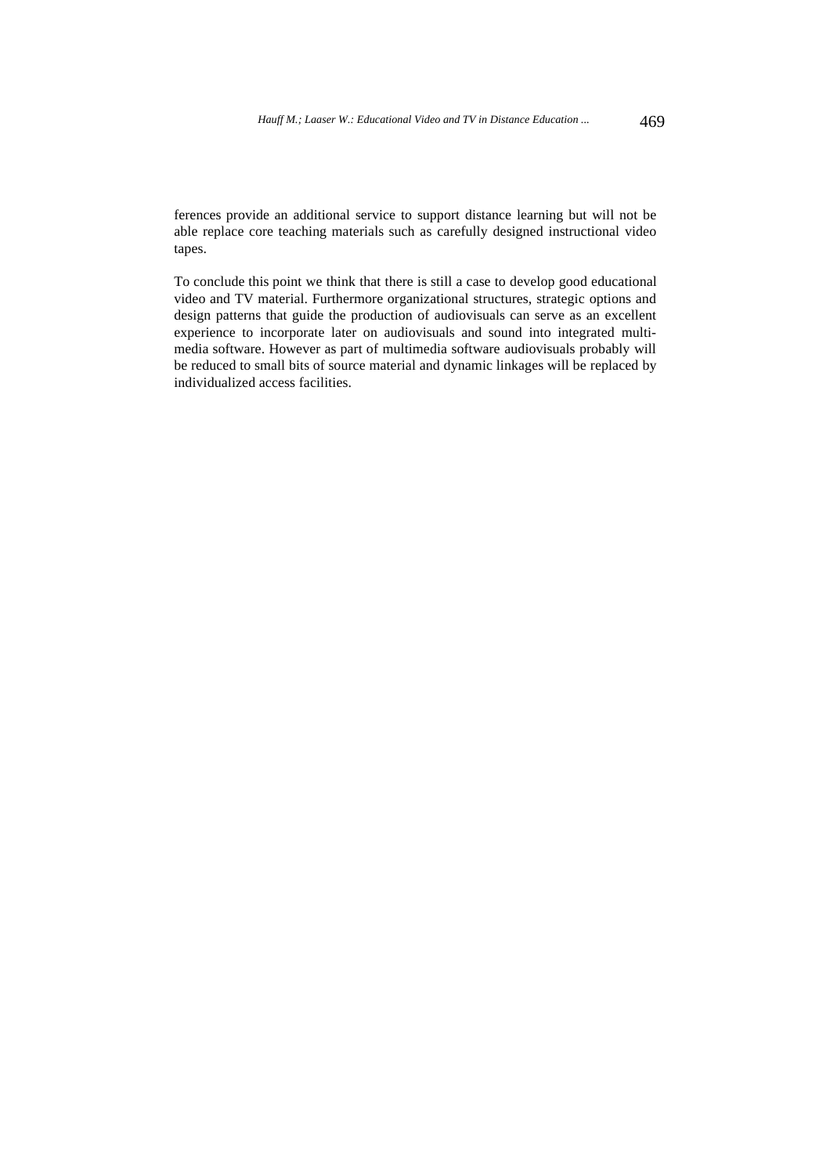ferences provide an additional service to support distance learning but will not be able replace core teaching materials such as carefully designed instructional video tapes.

To conclude this point we think that there is still a case to develop good educational video and TV material. Furthermore organizational structures, strategic options and design patterns that guide the production of audiovisuals can serve as an excellent experience to incorporate later on audiovisuals and sound into integrated multimedia software. However as part of multimedia software audiovisuals probably will be reduced to small bits of source material and dynamic linkages will be replaced by individualized access facilities.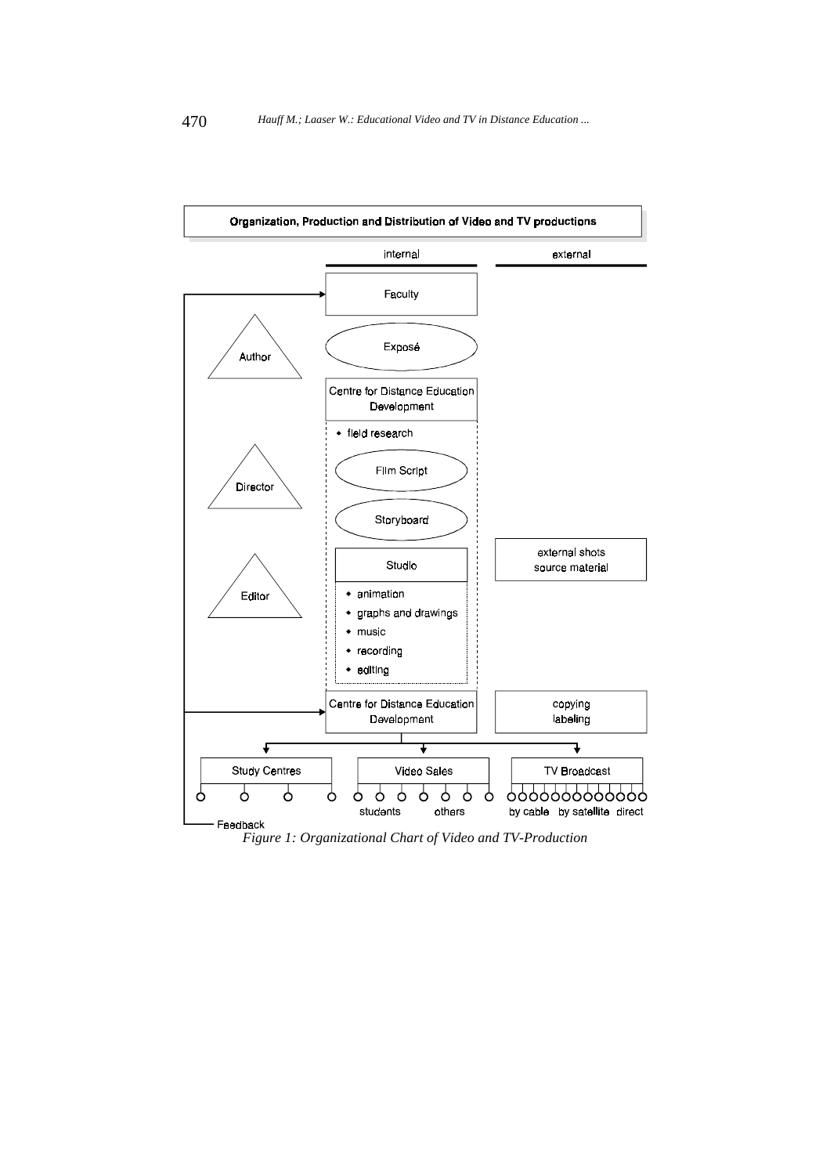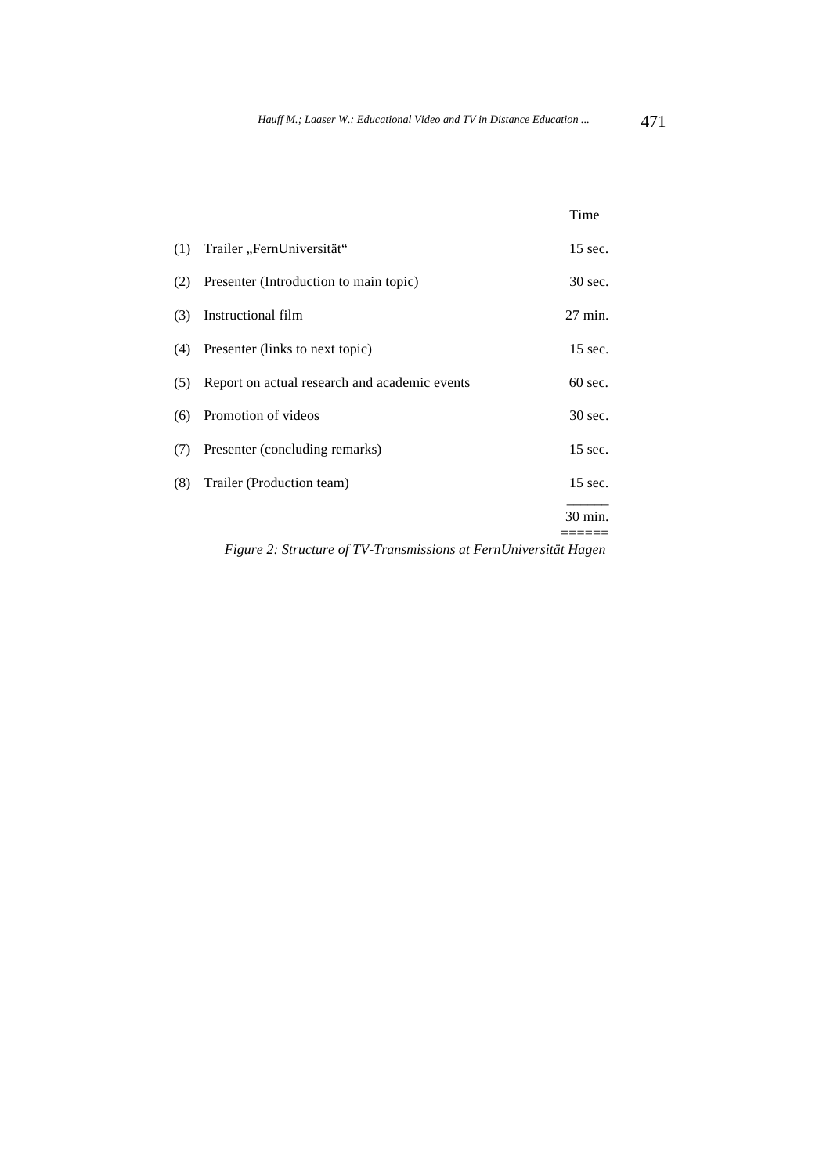|                                                                                                                                                                                                                                                                                                                                                  |                                               | Time      |
|--------------------------------------------------------------------------------------------------------------------------------------------------------------------------------------------------------------------------------------------------------------------------------------------------------------------------------------------------|-----------------------------------------------|-----------|
| (1)                                                                                                                                                                                                                                                                                                                                              | Trailer "FernUniversität"                     | 15 sec.   |
| (2)                                                                                                                                                                                                                                                                                                                                              | Presenter (Introduction to main topic)        | 30 sec.   |
| (3)                                                                                                                                                                                                                                                                                                                                              | Instructional film                            | 27 min.   |
|                                                                                                                                                                                                                                                                                                                                                  | (4) Presenter (links to next topic)           | 15 sec.   |
| (5)                                                                                                                                                                                                                                                                                                                                              | Report on actual research and academic events | $60$ sec. |
| (6)                                                                                                                                                                                                                                                                                                                                              | Promotion of videos                           | 30 sec.   |
| (7)                                                                                                                                                                                                                                                                                                                                              | Presenter (concluding remarks)                | 15 sec.   |
| (8)                                                                                                                                                                                                                                                                                                                                              | Trailer (Production team)                     | 15 sec.   |
|                                                                                                                                                                                                                                                                                                                                                  |                                               | 30 min.   |
| $E_{i}^{*}$ $\alpha_{i}^{*}$ $\beta_{i}^{*}$ $\beta_{i}^{*}$ $\alpha_{i}^{*}$ $\alpha_{i}^{*}$ $\alpha_{i}^{*}$ $\alpha_{i}^{*}$ $\alpha_{i}^{*}$ $\alpha_{i}^{*}$ $\alpha_{i}^{*}$ $\alpha_{i}^{*}$ $\alpha_{i}^{*}$ $\alpha_{i}^{*}$ $\alpha_{i}^{*}$ $\alpha_{i}^{*}$ $\alpha_{i}^{*}$ $\alpha_{i}^{*}$ $\alpha_{i}^{*}$ $\alpha_{i}^{*}$ $\$ |                                               |           |

*Figure 2: Structure of TV-Transmissions at FernUniversität Hagen*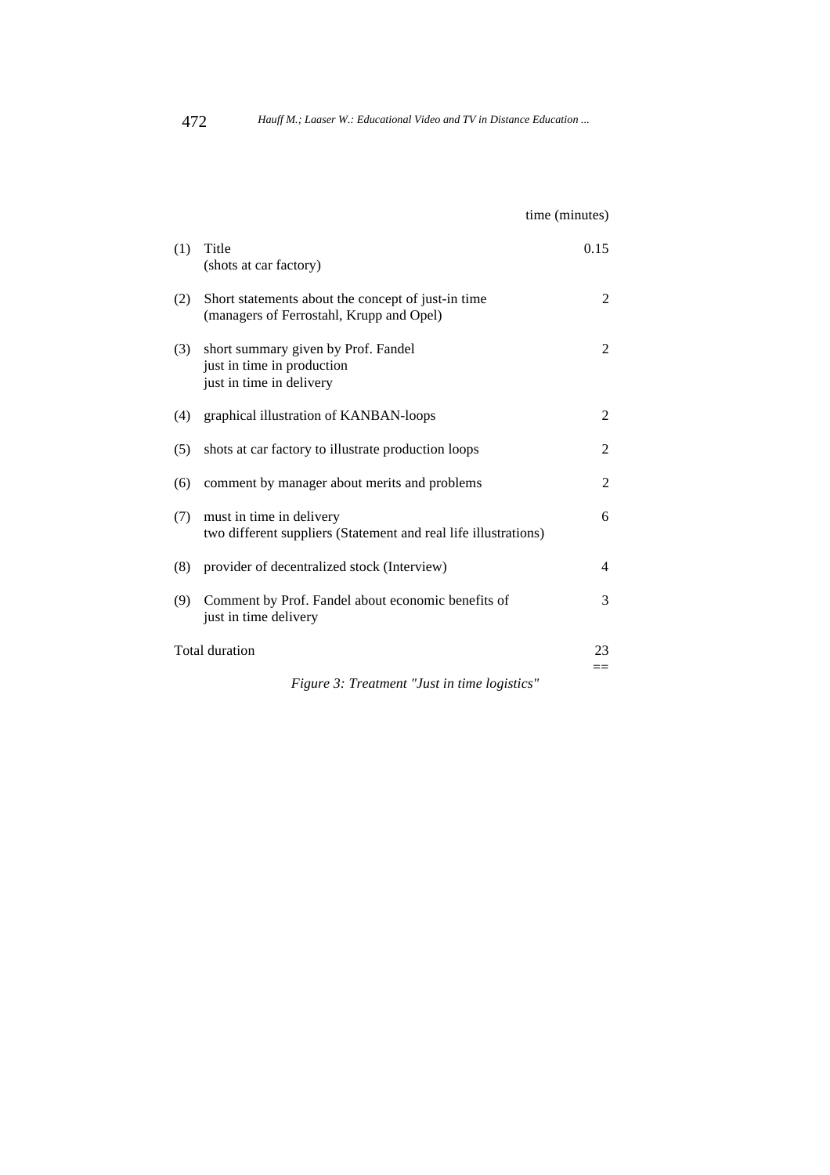time (minutes) (1) Title 0.15 (shots at car factory) (2) Short statements about the concept of just-in time 2 (managers of Ferrostahl, Krupp and Opel) (3) short summary given by Prof. Fandel 2 just in time in production just in time in delivery (4) graphical illustration of KANBAN-loops 2 (5) shots at car factory to illustrate production loops 2 (6) comment by manager about merits and problems 2 (7) must in time in delivery 6 two different suppliers (Statement and real life illustrations) (8) provider of decentralized stock (Interview) 4 (9) Comment by Prof. Fandel about economic benefits of 3 just in time delivery Total duration 23  $=$ 

*Figure 3: Treatment "Just in time logistics"*